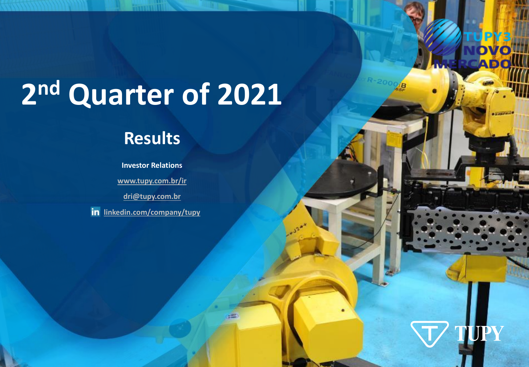# **2 nd Quarter of 2021**

# **Results**

**Investor Relations [www.tupy.com.br/ir](http://www.tupy.com.br/ir) [dri@tupy.com.br](mailto:dri@tupy.com.br) in** <linkedin.com/company/tupy>



*INVESTOR RELATIONS*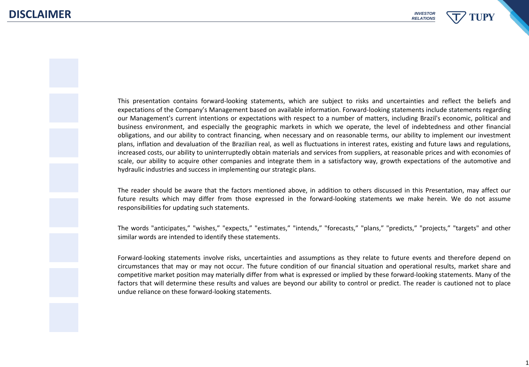This presentation contains forward‐looking statements, which are subject to risks and uncertainties and reflect the beliefs and expectations of the Company's Management based on available information. Forward‐looking statements include statements regarding our Management's current intentions or expectations with respect to a number of matters, including Brazil's economic, political and business environment, and especially the geographic markets in which we operate, the level of indebtedness and other financial obligations, and our ability to contract financing, when necessary and on reasonable terms, our ability to implement our investment plans, inflation and devaluation of the Brazilian real, as well as fluctuations in interest rates, existing and future laws and regulations, increased costs, our ability to uninterruptedly obtain materials and services from suppliers, at reasonable prices and with economies of scale, our ability to acquire other companies and integrate them in a satisfactory way, growth expectations of the automotive and hydraulic industries and success in implementing our strategic plans.

The reader should be aware that the factors mentioned above, in addition to others discussed in this Presentation, may affect our future results which may differ from those expressed in the forward‐looking statements we make herein. We do not assume responsibilities for updating such statements.

The words "anticipates," "wishes," "expects," "estimates," "intends," "forecasts," "plans," "predicts," "projects," "targets" and other similar words are intended to identify these statements.

Forward‐looking statements involve risks, uncertainties and assumptions as they relate to future events and therefore depend on circumstances that may or may not occur. The future condition of our financial situation and operational results, market share and competitive market position may materially differ from what is expressed or implied by these forward‐looking statements. Many of the factors that will determine these results and values are beyond our ability to control or predict. The reader is cautioned not to place undue reliance on these forward‐looking statements.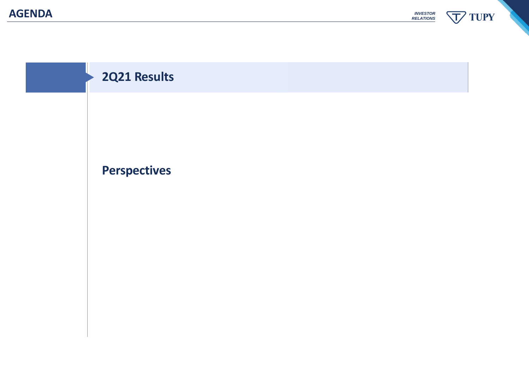**TUPY** *INVESTOR RELATIONS* 丁

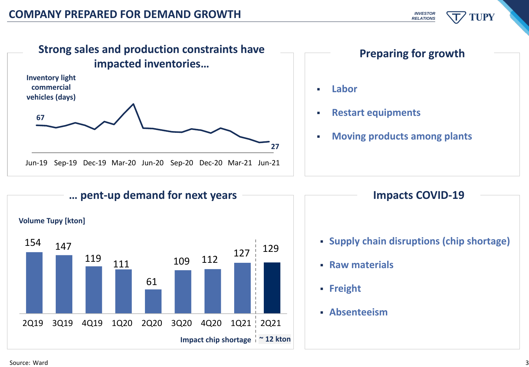





#### **Impacts COVID-19**

- **Supply chain disruptions (chip shortage)**
- **Raw materials**
- **Freight**
- **Absenteeism**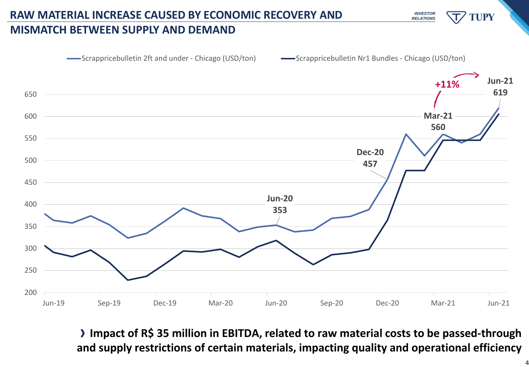

# **RAW MATERIAL INCREASE CAUSED BY ECONOMIC RECOVERY AND**

### **MISMATCH BETWEEN SUPPLY AND DEMAND**





**Impact of R\$ 35 million in EBITDA, related to raw material costs to be passed-through and supply restrictions of certain materials, impacting quality and operational efficiency**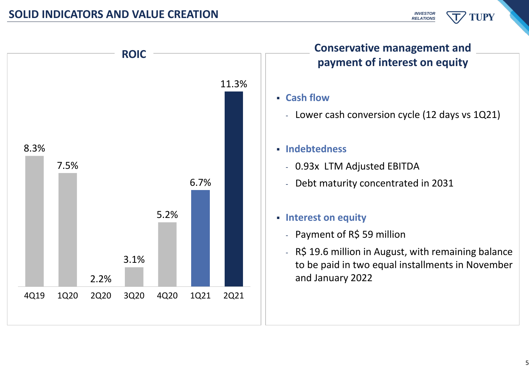

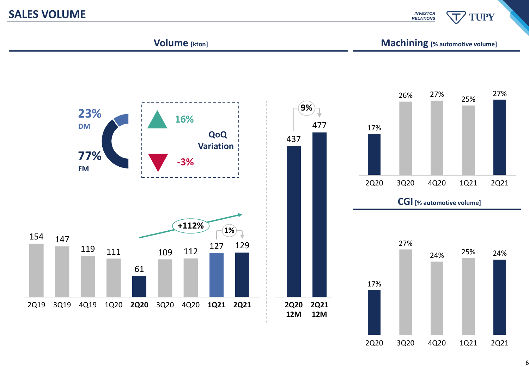### **SALES VOLUME**

*INVESTOR RELATIONS*

**TUPY** 

#### **Volume [kton]**

**Machining [% automotive volume]**



6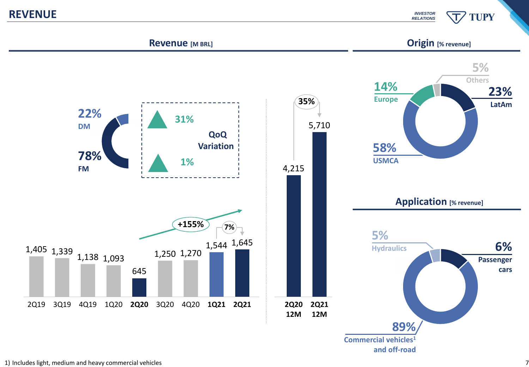**REVENUE**

*INVESTOR RELATIONS*

# **TUPY**



1) Includes light, medium and heavy commercial vehicles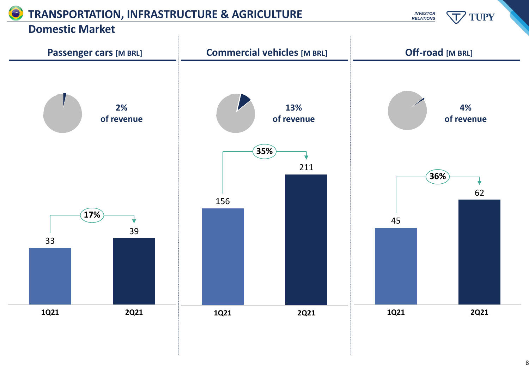# **TRANSPORTATION, INFRASTRUCTURE & AGRICULTURE**

*INVESTOR RELATIONS* TUPY

### **Domestic Market**



8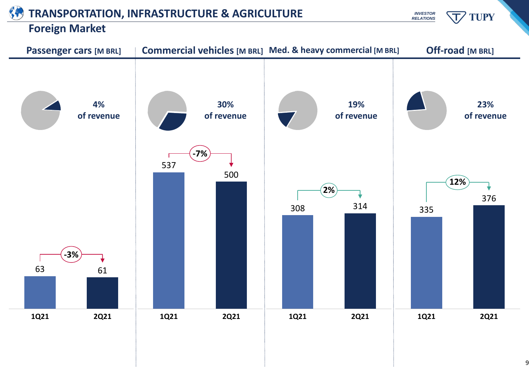# **TRANSPORTATION, INFRASTRUCTURE & AGRICULTURE**

# **Foreign Market**



9

*INVESTOR RELATIONS* **TUPY**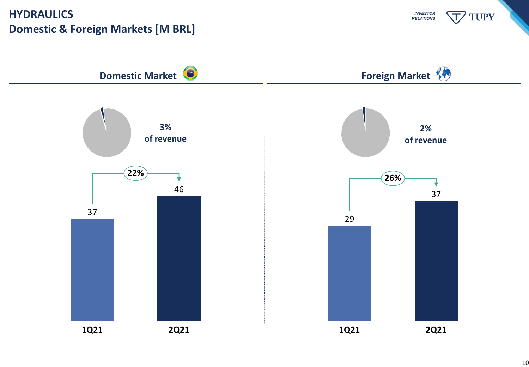# **HYDRAULICS**

# **Domestic & Foreign Markets [M BRL]**

*INVESTOR RELATIONS*



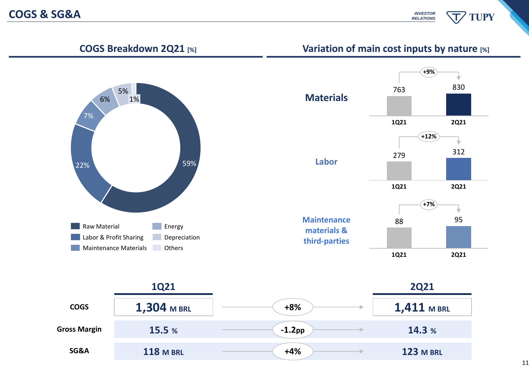*INVESTOR* **TUPY** *RELATIONS*

**COGS Breakdown 2Q21 [%] Variation of main cost inputs by nature [%]**





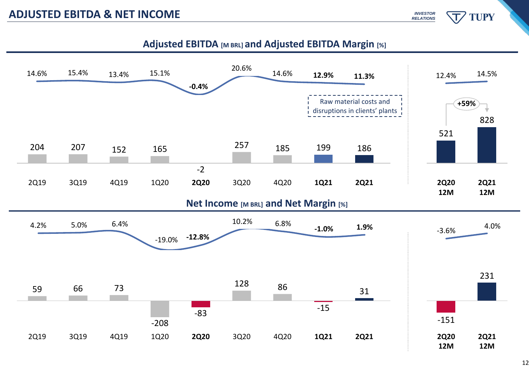**TUPY** 



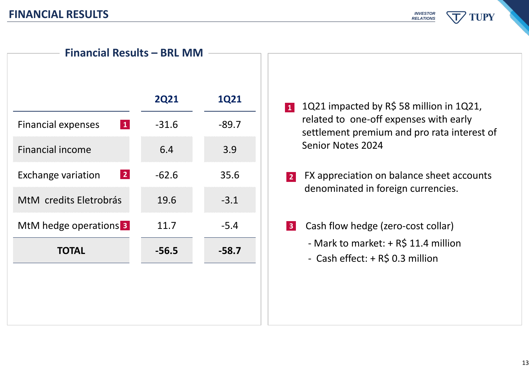*INVESTOR* **TUPY** *RELATIONS*

| <b>2Q21</b><br>$-31.6$<br>6.4 | <b>1Q21</b><br>$-89.7$ |
|-------------------------------|------------------------|
|                               |                        |
|                               |                        |
|                               | 3.9                    |
| $-62.6$                       | 35.6                   |
| 19.6                          | $-3.1$                 |
| 11.7                          | $-5.4$                 |
| $-56.5$                       | $-58.7$                |
|                               |                        |
|                               |                        |
|                               |                        |

- **1** 1Q21 impacted by R\$ 58 million in 1Q21, related to one-off expenses with early settlement premium and pro rata interest of Senior Notes 2024
- FX appreciation on balance sheet accounts denominated in foreign currencies. **2**
- **3** Cash flow hedge (zero-cost collar)
	- Mark to market: + R\$ 11.4 million
	- Cash effect: + R\$ 0.3 million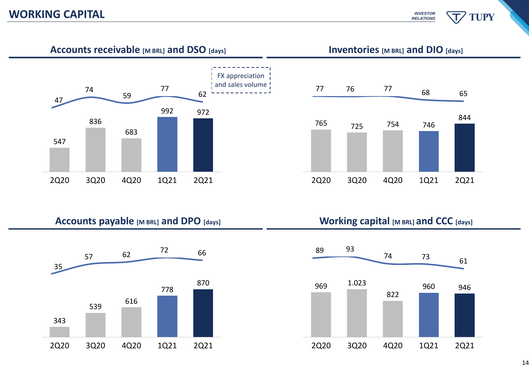**TUPY** 



**Accounts receivable [M BRL] and DSO [days] Inventories [M BRL] and DIO [days]**







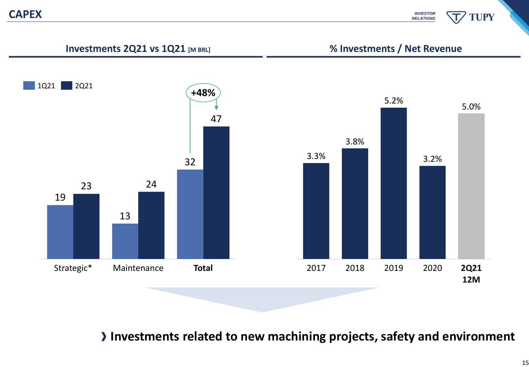*INVESTOR* **TUPY** *RELATIONS*



**Investments related to new machining projects, safety and environment**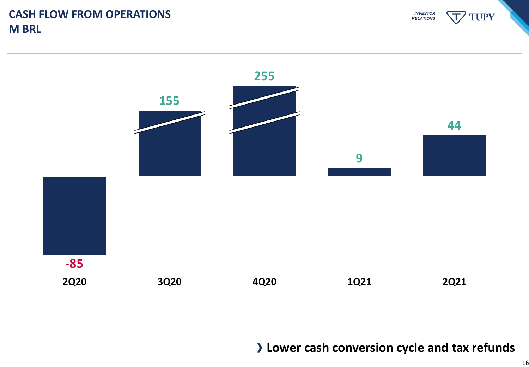**M BRL**

TUPY *INVESTOR RELATIONS*



**Lower cash conversion cycle and tax refunds**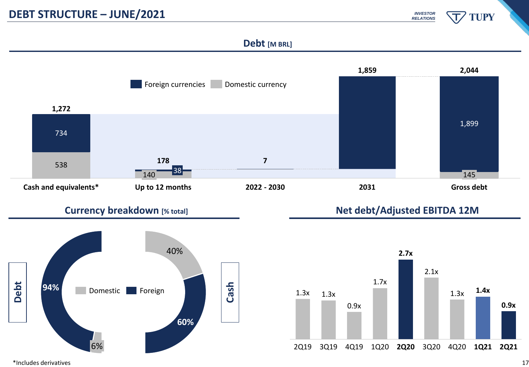

#### **Debt [M BRL]**





#### **Currency breakdown** [% total] **Net debt/Adjusted EBITDA 12M**



\*Includes derivatives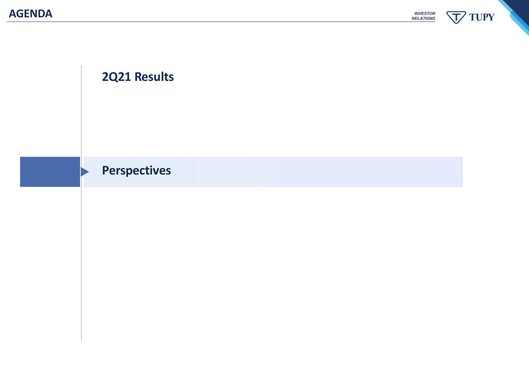**TUPY** *INVESTOR RELATIONS* 丁

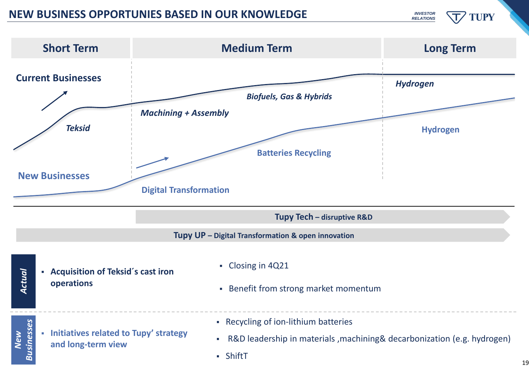# **INEW BUSINESS OPPORTUNIES BASED IN OUR KNOWLEDGE** *INVESTOR*

**TUPY** 

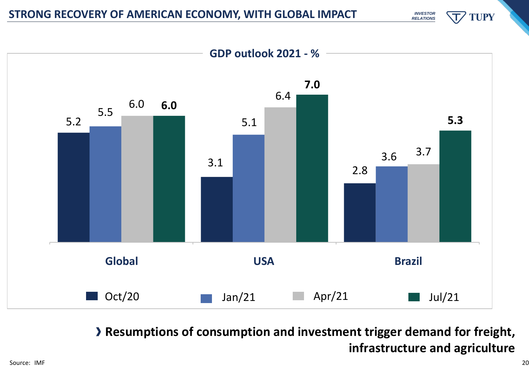

**Resumptions of consumption and investment trigger demand for freight, infrastructure and agriculture**

*INVESTOR RELATIONS*

**TUPY**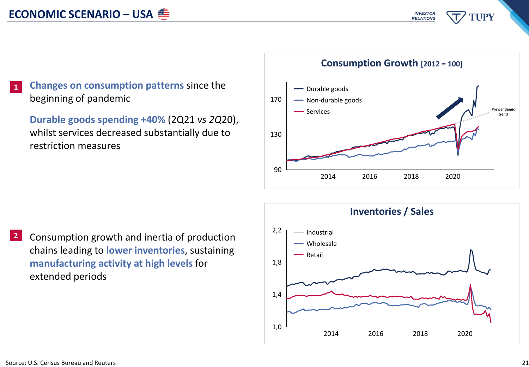*INVESTOR* **TUPY** *RELATIONS*

#### **Changes on consumption patterns** since the beginning of pandemic **1**

**Durable goods spending +40%** (2Q21 *vs 2Q*20), whilst services decreased substantially due to restriction measures

**2** Consumption growth and inertia of production chains leading to **lower inventories**, sustaining **manufacturing activity at high levels** for extended periods

#### 130 170 Durable goods Services Non-durable goods **Pre pandemic**

**Consumption Growth [2012 = 100]**

2014 2016 2018 2020

90



**trend**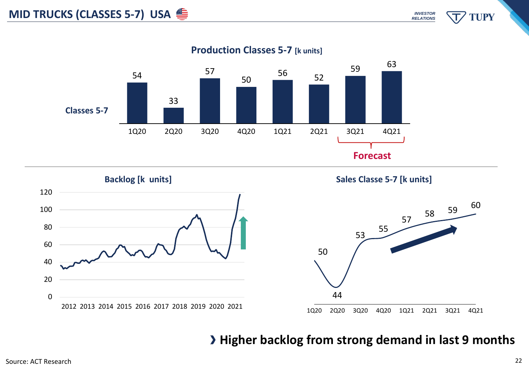

**Production Classes 5-7 [k units]**





# **Higher backlog from strong demand in last 9 months**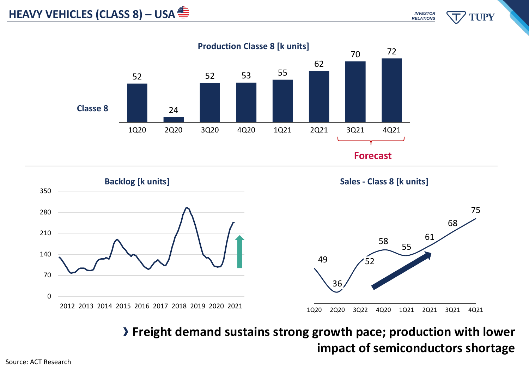





**Freight demand sustains strong growth pace; production with lower impact of semiconductors shortage**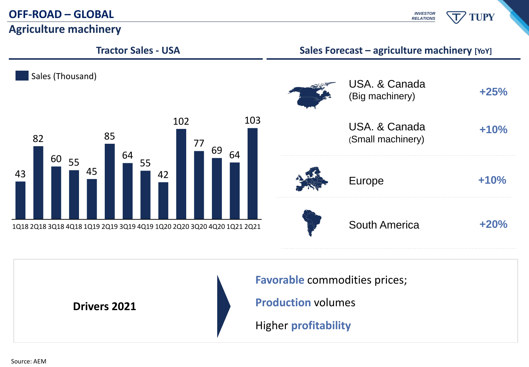## **OFF-ROAD – GLOBAL**

**Agriculture machinery**

*INVESTOR* **TUPY** *RELATIONS*



**Drivers 2021**

**Favorable** commodities prices; **Production** volumes Higher **profitability**